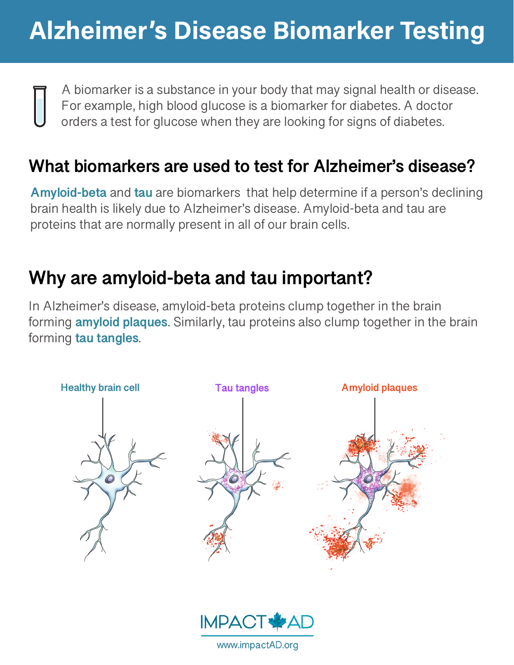A biomarker is a substance in your body that may signal health or disease. For example, high blood glucose is a biomarker for diabetes. A doctor orders a test for glucose when they are looking for signs of diabetes.

### **What biomarkers are used to test for Alzheimer's disease?**

**Amyloid-beta** and **tau** are biomarkers that help determine if a person's declining brain health is likely due to Alzheimer's disease. Amyloid-beta and tau are proteins that are normally present in all of our brain cells.

## **Why are amyloid-beta and tau important?**

In Alzheimer's disease, amyloid-beta proteins clump together in the brain forming **amyloid plaques**. Similarly, tau proteins also clump together in the brain forming **tau tangles**.